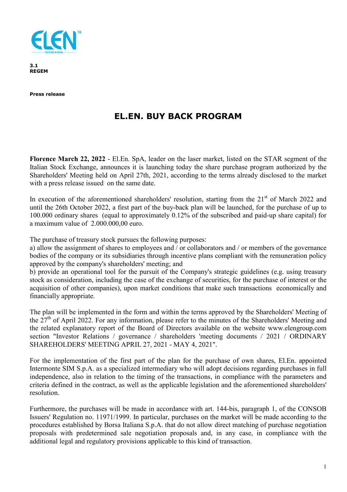

**3.1 REGEM** 

**Press release** 

## **EL.EN. BUY BACK PROGRAM**

**Florence March 22, 2022** - El.En. SpA, leader on the laser market, listed on the STAR segment of the Italian Stock Exchange, announces it is launching today the share purchase program authorized by the Shareholders' Meeting held on April 27th, 2021, according to the terms already disclosed to the market with a press release issued on the same date.

In execution of the aforementioned shareholders' resolution, starting from the  $21<sup>st</sup>$  of March 2022 and until the 26th October 2022, a first part of the buy-back plan will be launched, for the purchase of up to 100.000 ordinary shares (equal to approximately 0.12% of the subscribed and paid-up share capital) for a maximum value of 2.000.000,00 euro.

The purchase of treasury stock pursues the following purposes:

a) allow the assignment of shares to employees and / or collaborators and / or members of the governance bodies of the company or its subsidiaries through incentive plans compliant with the remuneration policy approved by the company's shareholders' meeting; and

b) provide an operational tool for the pursuit of the Company's strategic guidelines (e.g. using treasury stock as consideration, including the case of the exchange of securities, for the purchase of interest or the acquisition of other companies), upon market conditions that make such transactions economically and financially appropriate.

The plan will be implemented in the form and within the terms approved by the Shareholders' Meeting of the  $27<sup>th</sup>$  of April 2022. For any information, please refer to the minutes of the Shareholders' Meeting and the related explanatory report of the Board of Directors available on the website www.elengroup.com section "Investor Relations / governance / shareholders 'meeting documents / 2021 / ORDINARY SHAREHOLDERS' MEETING APRIL 27, 2021 - MAY 4, 2021".

For the implementation of the first part of the plan for the purchase of own shares, El.En. appointed Intermonte SIM S.p.A. as a specialized intermediary who will adopt decisions regarding purchases in full independence, also in relation to the timing of the transactions, in compliance with the parameters and criteria defined in the contract, as well as the applicable legislation and the aforementioned shareholders' resolution.

Furthermore, the purchases will be made in accordance with art. 144-bis, paragraph 1, of the CONSOB Issuers' Regulation no. 11971/1999. In particular, purchases on the market will be made according to the procedures established by Borsa Italiana S.p.A. that do not allow direct matching of purchase negotiation proposals with predetermined sale negotiation proposals and, in any case, in compliance with the additional legal and regulatory provisions applicable to this kind of transaction.